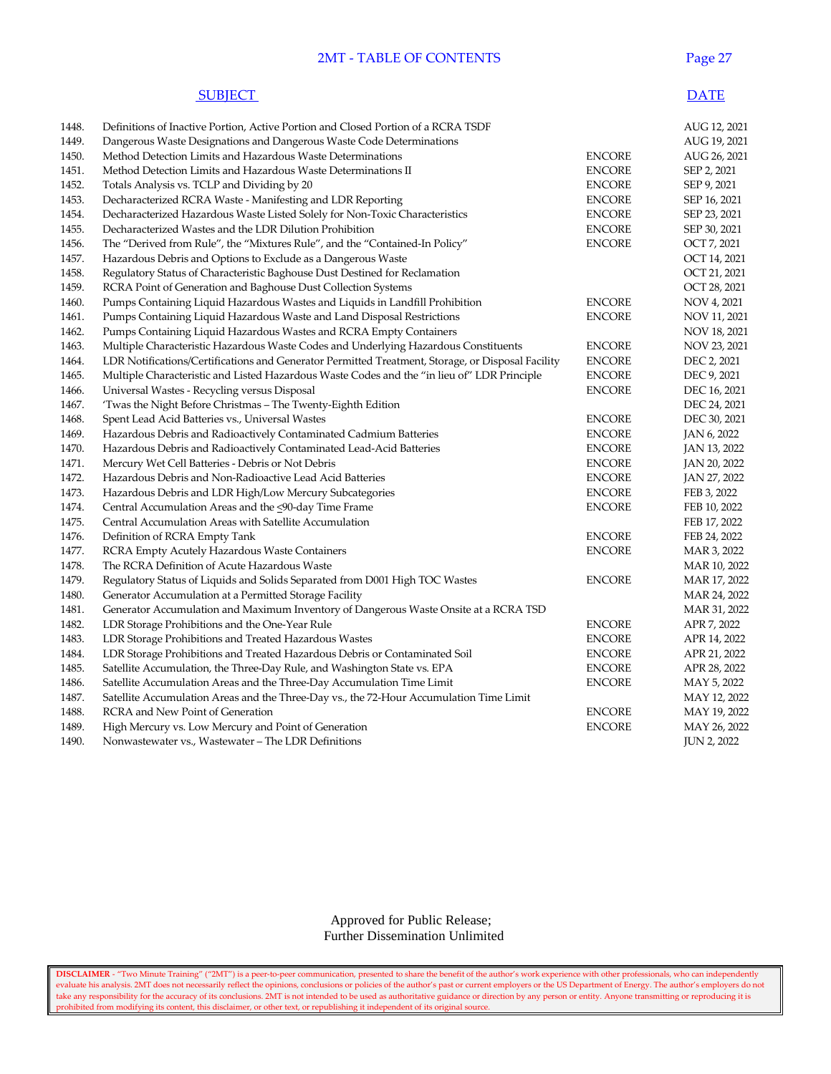#### **2MT - TABLE OF CONTENTS** Page 27

#### **SUBJECT** DATE

| 1448. | Definitions of Inactive Portion, Active Portion and Closed Portion of a RCRA TSDF                 |               | AUG 12, 2021       |
|-------|---------------------------------------------------------------------------------------------------|---------------|--------------------|
| 1449. | Dangerous Waste Designations and Dangerous Waste Code Determinations                              |               | AUG 19, 2021       |
| 1450. | Method Detection Limits and Hazardous Waste Determinations                                        | <b>ENCORE</b> | AUG 26, 2021       |
| 1451. | Method Detection Limits and Hazardous Waste Determinations II                                     | <b>ENCORE</b> | SEP 2, 2021        |
| 1452. | Totals Analysis vs. TCLP and Dividing by 20                                                       | <b>ENCORE</b> | SEP 9, 2021        |
| 1453. | Decharacterized RCRA Waste - Manifesting and LDR Reporting                                        | <b>ENCORE</b> | SEP 16, 2021       |
| 1454. | Decharacterized Hazardous Waste Listed Solely for Non-Toxic Characteristics                       | <b>ENCORE</b> | SEP 23, 2021       |
| 1455. | Decharacterized Wastes and the LDR Dilution Prohibition                                           | <b>ENCORE</b> | SEP 30, 2021       |
| 1456. | The "Derived from Rule", the "Mixtures Rule", and the "Contained-In Policy"                       | <b>ENCORE</b> | OCT 7, 2021        |
| 1457. | Hazardous Debris and Options to Exclude as a Dangerous Waste                                      |               | OCT 14, 2021       |
| 1458. | Regulatory Status of Characteristic Baghouse Dust Destined for Reclamation                        |               | OCT 21, 2021       |
| 1459. | RCRA Point of Generation and Baghouse Dust Collection Systems                                     |               | OCT 28, 2021       |
| 1460. | Pumps Containing Liquid Hazardous Wastes and Liquids in Landfill Prohibition                      | <b>ENCORE</b> | NOV 4, 2021        |
| 1461. | Pumps Containing Liquid Hazardous Waste and Land Disposal Restrictions                            | <b>ENCORE</b> | NOV 11, 2021       |
| 1462. | Pumps Containing Liquid Hazardous Wastes and RCRA Empty Containers                                |               | NOV 18, 2021       |
| 1463. | Multiple Characteristic Hazardous Waste Codes and Underlying Hazardous Constituents               | <b>ENCORE</b> | NOV 23, 2021       |
| 1464. | LDR Notifications/Certifications and Generator Permitted Treatment, Storage, or Disposal Facility | <b>ENCORE</b> | DEC 2, 2021        |
| 1465. | Multiple Characteristic and Listed Hazardous Waste Codes and the "in lieu of" LDR Principle       | <b>ENCORE</b> | DEC 9, 2021        |
| 1466. | Universal Wastes - Recycling versus Disposal                                                      | <b>ENCORE</b> | DEC 16, 2021       |
| 1467. | 'Twas the Night Before Christmas – The Twenty-Eighth Edition                                      |               | DEC 24, 2021       |
| 1468. | Spent Lead Acid Batteries vs., Universal Wastes                                                   | <b>ENCORE</b> | DEC 30, 2021       |
| 1469. | Hazardous Debris and Radioactively Contaminated Cadmium Batteries                                 | <b>ENCORE</b> | JAN 6, 2022        |
| 1470. | Hazardous Debris and Radioactively Contaminated Lead-Acid Batteries                               | <b>ENCORE</b> | JAN 13, 2022       |
| 1471. | Mercury Wet Cell Batteries - Debris or Not Debris                                                 | <b>ENCORE</b> | JAN 20, 2022       |
| 1472. | Hazardous Debris and Non-Radioactive Lead Acid Batteries                                          | <b>ENCORE</b> | JAN 27, 2022       |
| 1473. | Hazardous Debris and LDR High/Low Mercury Subcategories                                           | <b>ENCORE</b> | FEB 3, 2022        |
| 1474. | Central Accumulation Areas and the <90-day Time Frame                                             | <b>ENCORE</b> | FEB 10, 2022       |
| 1475. | Central Accumulation Areas with Satellite Accumulation                                            |               | FEB 17, 2022       |
| 1476. | Definition of RCRA Empty Tank                                                                     | <b>ENCORE</b> | FEB 24, 2022       |
| 1477. | RCRA Empty Acutely Hazardous Waste Containers                                                     | <b>ENCORE</b> | MAR 3, 2022        |
| 1478. | The RCRA Definition of Acute Hazardous Waste                                                      |               | MAR 10, 2022       |
| 1479. | Regulatory Status of Liquids and Solids Separated from D001 High TOC Wastes                       | <b>ENCORE</b> | MAR 17, 2022       |
| 1480. | Generator Accumulation at a Permitted Storage Facility                                            |               | MAR 24, 2022       |
| 1481. | Generator Accumulation and Maximum Inventory of Dangerous Waste Onsite at a RCRA TSD              |               | MAR 31, 2022       |
| 1482. | LDR Storage Prohibitions and the One-Year Rule                                                    | <b>ENCORE</b> | APR 7, 2022        |
| 1483. | LDR Storage Prohibitions and Treated Hazardous Wastes                                             | <b>ENCORE</b> | APR 14, 2022       |
| 1484. | LDR Storage Prohibitions and Treated Hazardous Debris or Contaminated Soil                        | <b>ENCORE</b> | APR 21, 2022       |
| 1485. | Satellite Accumulation, the Three-Day Rule, and Washington State vs. EPA                          | <b>ENCORE</b> | APR 28, 2022       |
| 1486. | Satellite Accumulation Areas and the Three-Day Accumulation Time Limit                            | <b>ENCORE</b> | MAY 5, 2022        |
| 1487. | Satellite Accumulation Areas and the Three-Day vs., the 72-Hour Accumulation Time Limit           |               | MAY 12, 2022       |
| 1488. | RCRA and New Point of Generation                                                                  | <b>ENCORE</b> | MAY 19, 2022       |
| 1489. | High Mercury vs. Low Mercury and Point of Generation                                              | <b>ENCORE</b> | MAY 26, 2022       |
| 1490. | Nonwastewater vs., Wastewater – The LDR Definitions                                               |               | <b>JUN 2, 2022</b> |
|       |                                                                                                   |               |                    |

 Approved for Public Release; Further Dissemination Unlimited

**DISCLAIMER** - "Two Minute Training" ("2MT") is a peer-to-peer communication, presented to share the benefit of the author's work experience with other professionals, who can independently evaluate his analysis. 2MT does not necessarily reflect the opinions, conclusions or policies of the author's past or current employers or the US Department of Energy. The author's employers do not take any responsibility for the accuracy of its conclusions. 2MT is not intended to be used as authoritative guidance or direction by any person or entity. Anyone transmitting or reproducing it is prohibited from modifying its content, this disclaimer, or other text, or republishing it independent of its original source.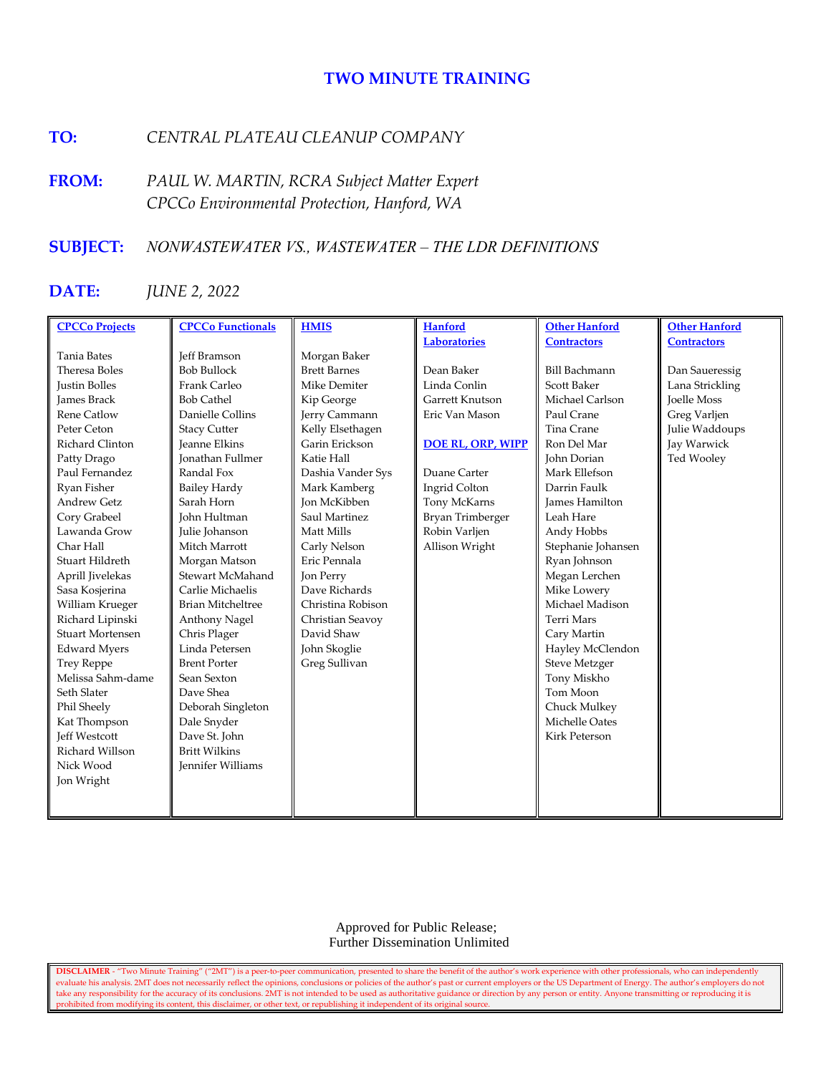# **TWO MINUTE TRAINING**

# **TO:** *CENTRAL PLATEAU CLEANUP COMPANY*

**FROM:** *PAUL W. MARTIN, RCRA Subject Matter Expert CPCCo Environmental Protection, Hanford, WA*

# **SUBJECT:** *NONWASTEWATER VS., WASTEWATER – THE LDR DEFINITIONS*

# **DATE:** *JUNE 2, 2022*

| <b>CPCCo Projects</b>   | <b>CPCCo Functionals</b> | <b>HMIS</b>         | <b>Hanford</b>           | <b>Other Hanford</b> | <b>Other Hanford</b> |
|-------------------------|--------------------------|---------------------|--------------------------|----------------------|----------------------|
|                         |                          |                     | <b>Laboratories</b>      | <b>Contractors</b>   | <b>Contractors</b>   |
| <b>Tania Bates</b>      | <b>Jeff Bramson</b>      | Morgan Baker        |                          |                      |                      |
| Theresa Boles           | <b>Bob Bullock</b>       | <b>Brett Barnes</b> | Dean Baker               | <b>Bill Bachmann</b> | Dan Saueressig       |
| <b>Justin Bolles</b>    | Frank Carleo             | Mike Demiter        | Linda Conlin             | <b>Scott Baker</b>   | Lana Strickling      |
| <b>James Brack</b>      | <b>Bob Cathel</b>        | Kip George          | Garrett Knutson          | Michael Carlson      | <b>Toelle Moss</b>   |
| <b>Rene Catlow</b>      | Danielle Collins         | Jerry Cammann       | Eric Van Mason           | Paul Crane           | Greg Varljen         |
| Peter Ceton             | <b>Stacy Cutter</b>      | Kelly Elsethagen    |                          | Tina Crane           | Julie Waddoups       |
| Richard Clinton         | <b>Jeanne Elkins</b>     | Garin Erickson      | <b>DOE RL, ORP, WIPP</b> | Ron Del Mar          | Jay Warwick          |
| Patty Drago             | <b>Jonathan Fullmer</b>  | Katie Hall          |                          | John Dorian          | Ted Wooley           |
| Paul Fernandez          | Randal Fox               | Dashia Vander Sys   | Duane Carter             | Mark Ellefson        |                      |
| Ryan Fisher             | <b>Bailey Hardy</b>      | Mark Kamberg        | Ingrid Colton            | Darrin Faulk         |                      |
| <b>Andrew Getz</b>      | Sarah Horn               | <b>Jon McKibben</b> | Tony McKarns             | James Hamilton       |                      |
| Cory Grabeel            | John Hultman             | Saul Martinez       | Bryan Trimberger         | Leah Hare            |                      |
| Lawanda Grow            | Julie Johanson           | Matt Mills          | Robin Varljen            | Andy Hobbs           |                      |
| Char Hall               | Mitch Marrott            | Carly Nelson        | Allison Wright           | Stephanie Johansen   |                      |
| Stuart Hildreth         | Morgan Matson            | Eric Pennala        |                          | Ryan Johnson         |                      |
| Aprill Jivelekas        | Stewart McMahand         | Jon Perry           |                          | Megan Lerchen        |                      |
| Sasa Kosjerina          | Carlie Michaelis         | Dave Richards       |                          | Mike Lowery          |                      |
| William Krueger         | <b>Brian Mitcheltree</b> | Christina Robison   |                          | Michael Madison      |                      |
| Richard Lipinski        | Anthony Nagel            | Christian Seavoy    |                          | <b>Terri Mars</b>    |                      |
| <b>Stuart Mortensen</b> | Chris Plager             | David Shaw          |                          | Cary Martin          |                      |
| <b>Edward Myers</b>     | Linda Petersen           | John Skoglie        |                          | Hayley McClendon     |                      |
| <b>Trey Reppe</b>       | <b>Brent Porter</b>      | Greg Sullivan       |                          | <b>Steve Metzger</b> |                      |
| Melissa Sahm-dame       | Sean Sexton              |                     |                          | Tony Miskho          |                      |
| Seth Slater             | Dave Shea                |                     |                          | Tom Moon             |                      |
| Phil Sheely             | Deborah Singleton        |                     |                          | Chuck Mulkey         |                      |
| Kat Thompson            | Dale Snyder              |                     |                          | Michelle Oates       |                      |
| <b>Jeff Westcott</b>    | Dave St. John            |                     |                          | <b>Kirk Peterson</b> |                      |
| Richard Willson         | <b>Britt Wilkins</b>     |                     |                          |                      |                      |
| Nick Wood               | <b>Jennifer Williams</b> |                     |                          |                      |                      |
| Jon Wright              |                          |                     |                          |                      |                      |
|                         |                          |                     |                          |                      |                      |
|                         |                          |                     |                          |                      |                      |

 Approved for Public Release; Further Dissemination Unlimited

**DISCLAIMER** - "Two Minute Training" ("2MT") is a peer-to-peer communication, presented to share the benefit of the author's work experience with other professionals, who can independently evaluate his analysis. 2MT does not necessarily reflect the opinions, conclusions or policies of the author's past or current employers or the US Department of Energy. The author's employers do not take any responsibility for the accuracy of its conclusions. 2MT is not intended to be used as authoritative guidance or direction by any person or entity. Anyone transmitting or reproducing it is prohibited from modifying its content, this disclaimer, or other text, or republishing it independent of its original source.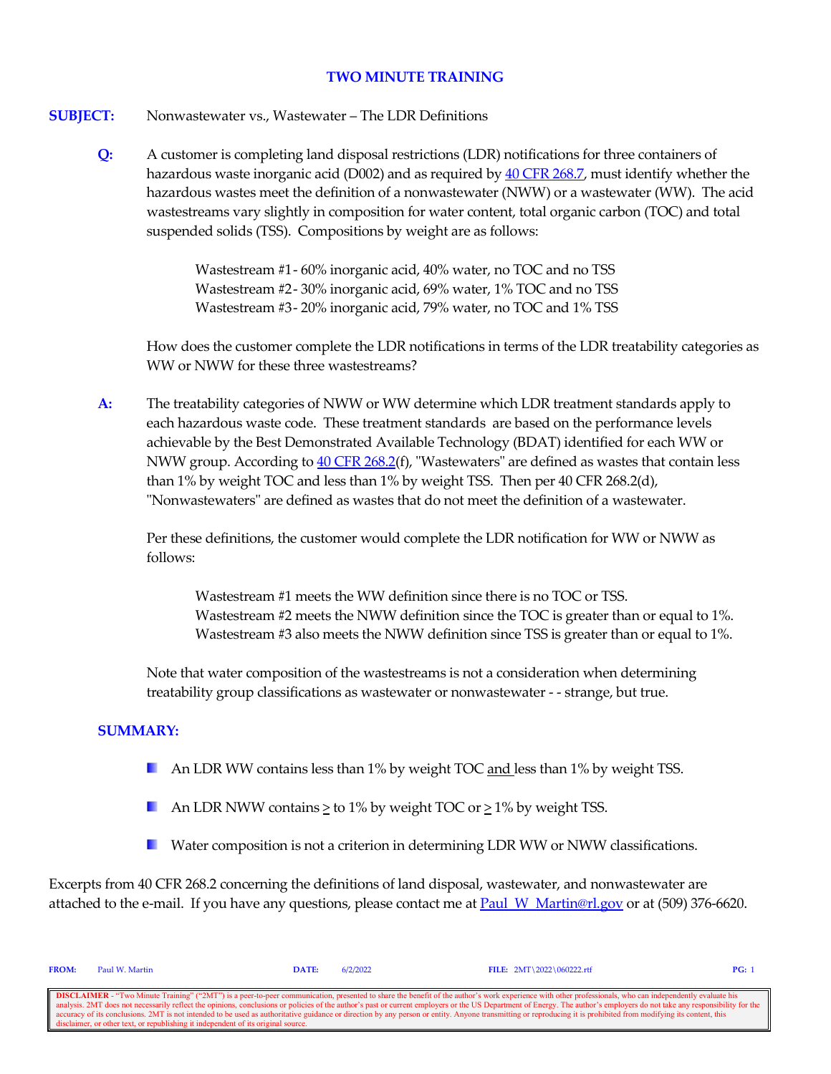### **TWO MINUTE TRAINING**

## **SUBJECT:** Nonwastewater vs., Wastewater – The LDR Definitions

**Q:** A customer is completing land disposal restrictions (LDR) notifications for three containers of hazardous waste inorganic acid (D002) and as required b[y 40 CFR 268.7,](https://www.govinfo.gov/content/pkg/CFR-2021-title40-vol29/xml/CFR-2021-title40-vol29-sec268-7.xml) must identify whether the hazardous wastes meet the definition of a nonwastewater (NWW) or a wastewater (WW). The acid wastestreams vary slightly in composition for water content, total organic carbon (TOC) and total suspended solids (TSS). Compositions by weight are as follows:

> Wastestream #1 - 60% inorganic acid, 40% water, no TOC and no TSS Wastestream #2 - 30% inorganic acid, 69% water, 1% TOC and no TSS Wastestream #3 - 20% inorganic acid, 79% water, no TOC and 1% TSS

How does the customer complete the LDR notifications in terms of the LDR treatability categories as WW or NWW for these three wastestreams?

**A:** The treatability categories of NWW or WW determine which LDR treatment standards apply to each hazardous waste code. These treatment standards are based on the performance levels achievable by the Best Demonstrated Available Technology (BDAT) identified for each WW or NWW group. According t[o 40 CFR 268.2\(](https://www.govinfo.gov/content/pkg/CFR-2021-title40-vol29/xml/CFR-2021-title40-vol29-sec268-2.xml)f), "Wastewaters" are defined as wastes that contain less than 1% by weight TOC and less than 1% by weight TSS. Then per 40 CFR 268.2(d), "Nonwastewaters" are defined as wastes that do not meet the definition of a wastewater.

Per these definitions, the customer would complete the LDR notification for WW or NWW as follows:

Wastestream #1 meets the WW definition since there is no TOC or TSS. Wastestream #2 meets the NWW definition since the TOC is greater than or equal to 1%. Wastestream #3 also meets the NWW definition since TSS is greater than or equal to 1%.

Note that water composition of the wastestreams is not a consideration when determining treatability group classifications as wastewater or nonwastewater - - strange, but true.

## **SUMMARY:**

- An LDR WW contains less than 1% by weight TOC and less than 1% by weight TSS.
- An LDR NWW contains  $\geq$  to 1% by weight TOC or  $\geq$  1% by weight TSS.
- **E** Water composition is not a criterion in determining LDR WW or NWW classifications.

Excerpts from 40 CFR 268.2 concerning the definitions of land disposal, wastewater, and nonwastewater are attached to the e-mail. If you have any questions, please contact me at Paul W\_Martin@rl.gov or at (509) 376-6620.

| <b>FROM:</b>                                                                                                                                                                                                             | Paul W. Martin | DATE: | 6/2/2022 | FILE: $2MT \ 2022 \ 060222.rtf$ | PG: |  |  |  |
|--------------------------------------------------------------------------------------------------------------------------------------------------------------------------------------------------------------------------|----------------|-------|----------|---------------------------------|-----|--|--|--|
|                                                                                                                                                                                                                          |                |       |          |                                 |     |  |  |  |
| <b>DISCLAIMER</b> - "Two Minute Training" ("2MT") is a peer-to-peer communication, presented to share the benefit of the author's work experience with other professionals, who can independently evaluate his           |                |       |          |                                 |     |  |  |  |
| analysis. 2MT does not necessarily reflect the opinions, conclusions or policies of the author's past or current employers or the US Department of Energy. The author's employers do not take any responsibility for the |                |       |          |                                 |     |  |  |  |
| accuracy of its conclusions. 2MT is not intended to be used as authoritative guidance or direction by any person or entity. Anyone transmitting or reproducing it is prohibited from modifying its content, this         |                |       |          |                                 |     |  |  |  |
| disclaimer, or other text, or republishing it independent of its original source.                                                                                                                                        |                |       |          |                                 |     |  |  |  |